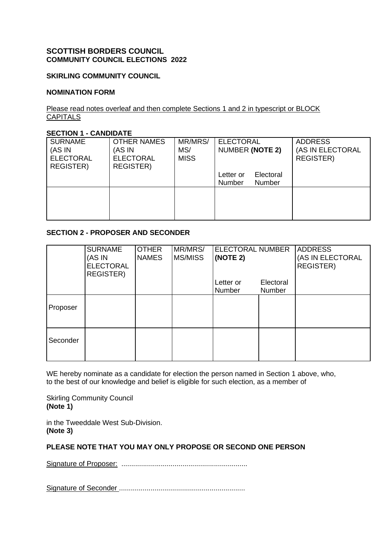## **SCOTTISH BORDERS COUNCIL COMMUNITY COUNCIL ELECTIONS 2022**

## **SKIRLING COMMUNITY COUNCIL**

#### **NOMINATION FORM**

#### Please read notes overleaf and then complete Sections 1 and 2 in typescript or BLOCK **CAPITALS**

#### **SECTION 1 - CANDIDATE**

| <b>SURNAME</b><br>(AS IN<br><b>ELECTORAL</b><br><b>REGISTER)</b> | <b>OTHER NAMES</b><br>(AS IN<br><b>ELECTORAL</b><br><b>REGISTER)</b> | MR/MRS/<br>MS/<br><b>MISS</b> | <b>ELECTORAL</b><br>NUMBER (NOTE 2)        | <b>ADDRESS</b><br>(AS IN ELECTORAL<br><b>REGISTER)</b> |
|------------------------------------------------------------------|----------------------------------------------------------------------|-------------------------------|--------------------------------------------|--------------------------------------------------------|
|                                                                  |                                                                      |                               | Electoral<br>Letter or<br>Number<br>Number |                                                        |
|                                                                  |                                                                      |                               |                                            |                                                        |
|                                                                  |                                                                      |                               |                                            |                                                        |

## **SECTION 2 - PROPOSER AND SECONDER**

|          | <b>SURNAME</b><br>(AS IN<br><b>ELECTORAL</b><br><b>REGISTER)</b> | <b>OTHER</b><br><b>NAMES</b> | MR/MRS/<br>MS/MISS | <b>ELECTORAL NUMBER</b><br>(NOTE 2) |                     | <b>ADDRESS</b><br>(AS IN ELECTORAL<br><b>REGISTER)</b> |
|----------|------------------------------------------------------------------|------------------------------|--------------------|-------------------------------------|---------------------|--------------------------------------------------------|
|          |                                                                  |                              |                    | Letter or<br>Number                 | Electoral<br>Number |                                                        |
| Proposer |                                                                  |                              |                    |                                     |                     |                                                        |
| Seconder |                                                                  |                              |                    |                                     |                     |                                                        |

WE hereby nominate as a candidate for election the person named in Section 1 above, who, to the best of our knowledge and belief is eligible for such election, as a member of

Skirling Community Council **(Note 1)**

in the Tweeddale West Sub-Division. **(Note 3)**

### **PLEASE NOTE THAT YOU MAY ONLY PROPOSE OR SECOND ONE PERSON**

Signature of Proposer: ................................................................

Signature of Seconder ................................................................